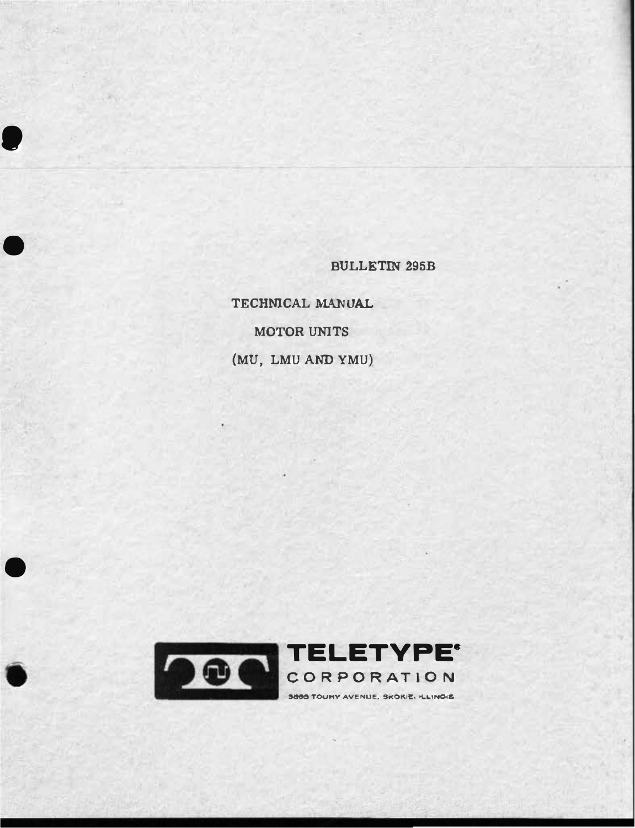**BULLETIN 295B** 

TECHNICAL MANUAL MOTOR UNITS (MU, LMU AND YMU)

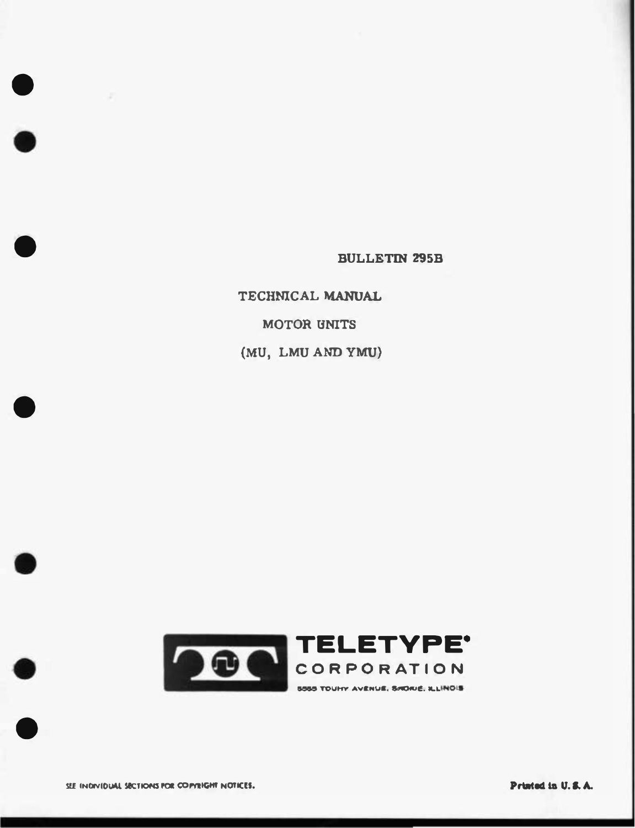**BULLETIN 295B** 

TECHNICAL MANUAL MOTOR UNITS (MU, LMU AND YMU)

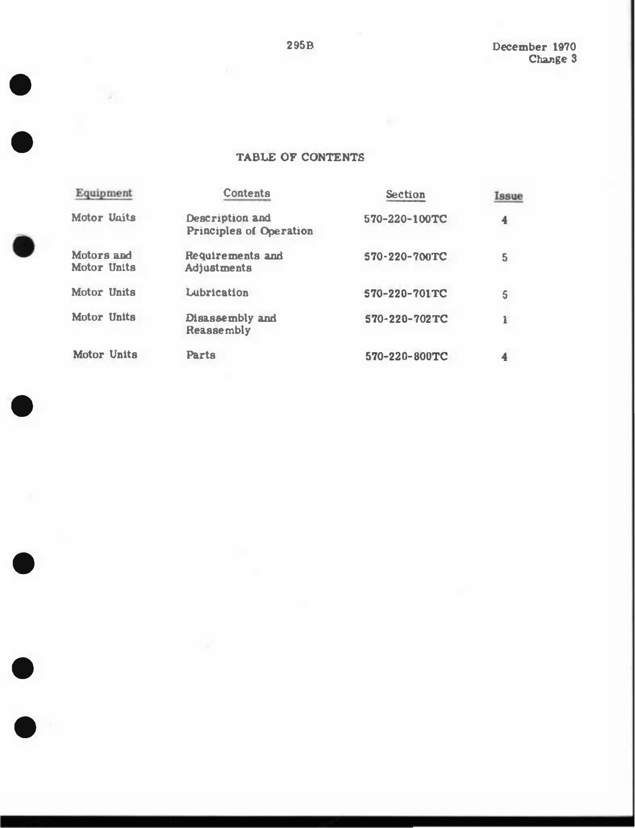December 1970 Change 3

## TABLE OF CONTENTS

| Equipment                 | <b>Contents</b>                                   | <b>Section</b> | Issue          |
|---------------------------|---------------------------------------------------|----------------|----------------|
| <b>Motor Ugits</b>        | Description and<br><b>Principles of Operation</b> | 570-220-100TC  | 4              |
| Motors and<br>Motor Units | Requirements and<br>Adjustments                   | 570-220-700TC  | 5              |
| Motor Units               | Lubrication                                       | 570-220-701TC  | $\overline{5}$ |
| Motor Units               | Disassembly and<br>Reassembly                     | 570-220-702TC  | i              |
| Motor Units               | Parts                                             | 570-220-800TC  |                |

 $\bullet$ 

 $\bullet$ 

 $\bullet$ 

 $\bullet$ 

 $\bullet$ 

 $\bullet$